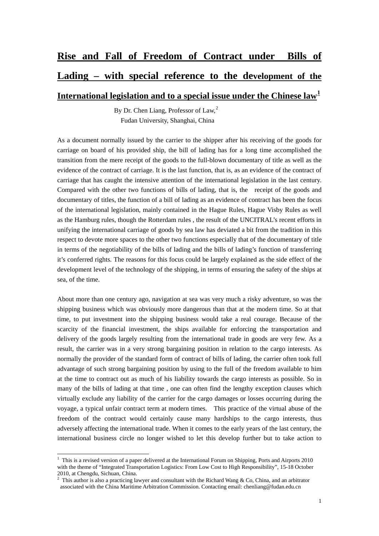## **Rise and Fall of Freedom of Contract under Bills of Lading – with special reference to the development of the**

**International legislation and to a special issue under the Chinese law[1](#page-0-0)**

By Dr. Chen Liang, Professor of Law,<sup>[2](#page-0-1)</sup> Fudan University, Shanghai, China

As a document normally issued by the carrier to the shipper after his receiving of the goods for carriage on board of his provided ship, the bill of lading has for a long time accomplished the transition from the mere receipt of the goods to the full-blown documentary of title as well as the evidence of the contract of carriage. It is the last function, that is, as an evidence of the contract of carriage that has caught the intensive attention of the international legislation in the last century. Compared with the other two functions of bills of lading, that is, the receipt of the goods and documentary of titles, the function of a bill of lading as an evidence of contract has been the focus of the international legislation, mainly contained in the Hague Rules, Hague Visby Rules as well as the Hamburg rules, though the Rotterdam rules , the result of the UNCITRAL's recent efforts in unifying the international carriage of goods by sea law has deviated a bit from the tradition in this respect to devote more spaces to the other two functions especially that of the documentary of title in terms of the negotiability of the bills of lading and the bills of lading's function of transferring it's conferred rights. The reasons for this focus could be largely explained as the side effect of the development level of the technology of the shipping, in terms of ensuring the safety of the ships at sea, of the time.

About more than one century ago, navigation at sea was very much a risky adventure, so was the shipping business which was obviously more dangerous than that at the modern time. So at that time, to put investment into the shipping business would take a real courage. Because of the scarcity of the financial investment, the ships available for enforcing the transportation and delivery of the goods largely resulting from the international trade in goods are very few. As a result, the carrier was in a very strong bargaining position in relation to the cargo interests. As normally the provider of the standard form of contract of bills of lading, the carrier often took full advantage of such strong bargaining position by using to the full of the freedom available to him at the time to contract out as much of his liability towards the cargo interests as possible. So in many of the bills of lading at that time , one can often find the lengthy exception clauses which virtually exclude any liability of the carrier for the cargo damages or losses occurring during the voyage, a typical unfair contract term at modern times. This practice of the virtual abuse of the freedom of the contract would certainly cause many hardships to the cargo interests, thus adversely affecting the international trade. When it comes to the early years of the last century, the international business circle no longer wished to let this develop further but to take action to

<span id="page-0-0"></span> 1 This is a revised version of a paper delivered at the International Forum on Shipping, Ports and Airports 2010 with the theme of "Integrated Transportation Logistics: From Low Cost to High Responsibility", 15-18 October 2010, at Chengdu, Sichuan, China.

<span id="page-0-1"></span><sup>&</sup>lt;sup>2</sup> This author is also a practicing lawyer and consultant with the Richard Wang & Co, China, and an arbitrator associated with the China Maritime Arbitration Commission. Contacting email: chenliang@fudan.edu.cn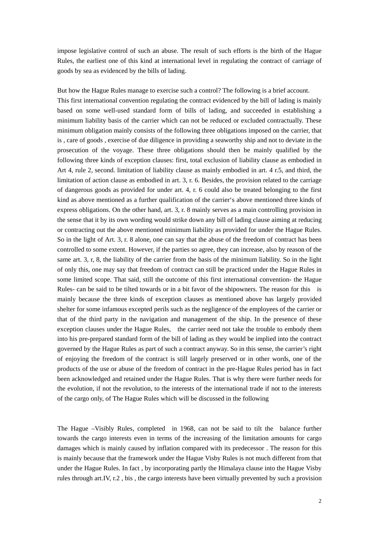impose legislative control of such an abuse. The result of such efforts is the birth of the Hague Rules, the earliest one of this kind at international level in regulating the contract of carriage of goods by sea as evidenced by the bills of lading.

But how the Hague Rules manage to exercise such a control? The following is a brief account. This first international convention regulating the contract evidenced by the bill of lading is mainly based on some well-used standard form of bills of lading, and succeeded in establishing a minimum liability basis of the carrier which can not be reduced or excluded contractually. These minimum obligation mainly consists of the following three obligations imposed on the carrier, that is , care of goods , exercise of due diligence in providing a seaworthy ship and not to deviate in the prosecution of the voyage. These three obligations should then be mainly qualified by the following three kinds of exception clauses: first, total exclusion of liability clause as embodied in Art 4, rule 2, second. limitation of liability clause as mainly embodied in art. 4 r.5, and third, the limitation of action clause as embodied in art. 3, r. 6. Besides, the provision related to the carriage of dangerous goods as provided for under art. 4, r. 6 could also be treated belonging to the first kind as above mentioned as a further qualification of the carrier's above mentioned three kinds of express obligations. On the other hand, art. 3, r. 8 mainly serves as a main controlling provision in the sense that it by its own wording would strike down any bill of lading clause aiming at reducing or contracting out the above mentioned minimum liability as provided for under the Hague Rules. So in the light of Art. 3, r. 8 alone, one can say that the abuse of the freedom of contract has been controlled to some extent. However, if the parties so agree, they can increase, also by reason of the same art. 3, r, 8, the liability of the carrier from the basis of the minimum liability. So in the light of only this, one may say that freedom of contract can still be practiced under the Hague Rules in some limited scope. That said, still the outcome of this first international convention- the Hague Rules- can be said to be tilted towards or in a bit favor of the shipowners. The reason for this is mainly because the three kinds of exception clauses as mentioned above has largely provided shelter for some infamous excepted perils such as the negligence of the employees of the carrier or that of the third party in the navigation and management of the ship. In the presence of these exception clauses under the Hague Rules, the carrier need not take the trouble to embody them into his pre-prepared standard form of the bill of lading as they would be implied into the contract governed by the Hague Rules as part of such a contract anyway. So in this sense, the carrier's right of enjoying the freedom of the contract is still largely preserved or in other words, one of the products of the use or abuse of the freedom of contract in the pre-Hague Rules period has in fact been acknowledged and retained under the Hague Rules. That is why there were further needs for the evolution, if not the revolution, to the interests of the international trade if not to the interests of the cargo only, of The Hague Rules which will be discussed in the following

The Hague –Visibly Rules, completed in 1968, can not be said to tilt the balance further towards the cargo interests even in terms of the increasing of the limitation amounts for cargo damages which is mainly caused by inflation compared with its predecessor . The reason for this is mainly because that the framework under the Hague Visby Rules is not much different from that under the Hague Rules. In fact , by incorporating partly the Himalaya clause into the Hague Visby rules through art.IV, r.2 , bis , the cargo interests have been virtually prevented by such a provision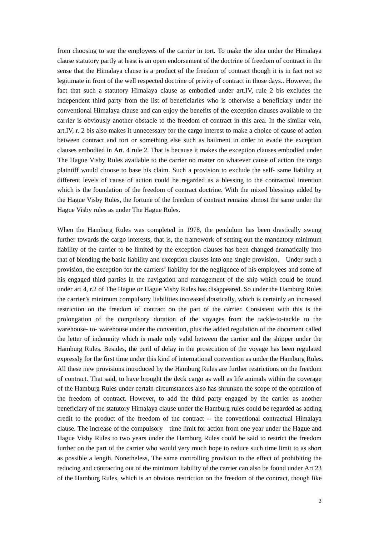from choosing to sue the employees of the carrier in tort. To make the idea under the Himalaya clause statutory partly at least is an open endorsement of the doctrine of freedom of contract in the sense that the Himalaya clause is a product of the freedom of contract though it is in fact not so legitimate in front of the well respected doctrine of privity of contract in those days.. However, the fact that such a statutory Himalaya clause as embodied under art.IV, rule 2 bis excludes the independent third party from the list of beneficiaries who is otherwise a beneficiary under the conventional Himalaya clause and can enjoy the benefits of the exception clauses available to the carrier is obviously another obstacle to the freedom of contract in this area. In the similar vein, art.IV, r. 2 bis also makes it unnecessary for the cargo interest to make a choice of cause of action between contract and tort or something else such as bailment in order to evade the exception clauses embodied in Art. 4 rule 2. That is because it makes the exception clauses embodied under The Hague Visby Rules available to the carrier no matter on whatever cause of action the cargo plaintiff would choose to base his claim. Such a provision to exclude the self- same liability at different levels of cause of action could be regarded as a blessing to the contractual intention which is the foundation of the freedom of contract doctrine. With the mixed blessings added by the Hague Visby Rules, the fortune of the freedom of contract remains almost the same under the Hague Visby rules as under The Hague Rules.

When the Hamburg Rules was completed in 1978, the pendulum has been drastically swung further towards the cargo interests, that is, the framework of setting out the mandatory minimum liability of the carrier to be limited by the exception clauses has been changed dramatically into that of blending the basic liability and exception clauses into one single provision. Under such a provision, the exception for the carriers' liability for the negligence of his employees and some of his engaged third parties in the navigation and management of the ship which could be found under art 4, r.2 of The Hague or Hague Visby Rules has disappeared. So under the Hamburg Rules the carrier's minimum compulsory liabilities increased drastically, which is certainly an increased restriction on the freedom of contract on the part of the carrier. Consistent with this is the prolongation of the compulsory duration of the voyages from the tackle-to-tackle to the warehouse- to- warehouse under the convention, plus the added regulation of the document called the letter of indemnity which is made only valid between the carrier and the shipper under the Hamburg Rules. Besides, the peril of delay in the prosecution of the voyage has been regulated expressly for the first time under this kind of international convention as under the Hamburg Rules. All these new provisions introduced by the Hamburg Rules are further restrictions on the freedom of contract. That said, to have brought the deck cargo as well as life animals within the coverage of the Hamburg Rules under certain circumstances also has shrunken the scope of the operation of the freedom of contract. However, to add the third party engaged by the carrier as another beneficiary of the statutory Himalaya clause under the Hamburg rules could be regarded as adding credit to the product of the freedom of the contract -- the conventional contractual Himalaya clause. The increase of the compulsory time limit for action from one year under the Hague and Hague Visby Rules to two years under the Hamburg Rules could be said to restrict the freedom further on the part of the carrier who would very much hope to reduce such time limit to as short as possible a length. Nonetheless, The same controlling provision to the effect of prohibiting the reducing and contracting out of the minimum liability of the carrier can also be found under Art 23 of the Hamburg Rules, which is an obvious restriction on the freedom of the contract, though like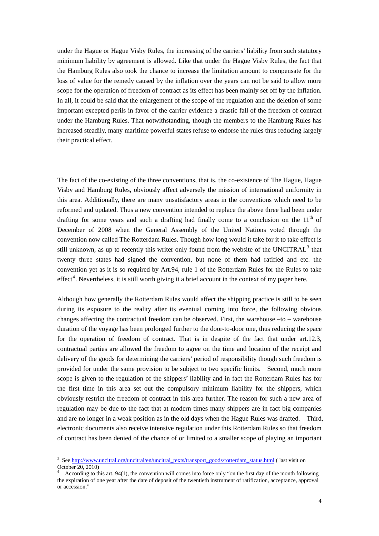under the Hague or Hague Visby Rules, the increasing of the carriers' liability from such statutory minimum liability by agreement is allowed. Like that under the Hague Visby Rules, the fact that the Hamburg Rules also took the chance to increase the limitation amount to compensate for the loss of value for the remedy caused by the inflation over the years can not be said to allow more scope for the operation of freedom of contract as its effect has been mainly set off by the inflation. In all, it could be said that the enlargement of the scope of the regulation and the deletion of some important excepted perils in favor of the carrier evidence a drastic fall of the freedom of contract under the Hamburg Rules. That notwithstanding, though the members to the Hamburg Rules has increased steadily, many maritime powerful states refuse to endorse the rules thus reducing largely their practical effect.

The fact of the co-existing of the three conventions, that is, the co-existence of The Hague, Hague Visby and Hamburg Rules, obviously affect adversely the mission of international uniformity in this area. Additionally, there are many unsatisfactory areas in the conventions which need to be reformed and updated. Thus a new convention intended to replace the above three had been under drafting for some years and such a drafting had finally come to a conclusion on the  $11<sup>th</sup>$  of December of 2008 when the General Assembly of the United Nations voted through the convention now called The Rotterdam Rules. Though how long would it take for it to take effect is still unknown, as up to recently this writer only found from the website of the UNCITRAL $^3$  $^3$  that twenty three states had signed the convention, but none of them had ratified and etc. the convention yet as it is so required by Art.94, rule 1 of the Rotterdam Rules for the Rules to take effect<sup>[4](#page-3-1)</sup>. Nevertheless, it is still worth giving it a brief account in the context of my paper here.

Although how generally the Rotterdam Rules would affect the shipping practice is still to be seen during its exposure to the reality after its eventual coming into force, the following obvious changes affecting the contractual freedom can be observed. First, the warehouse –to – warehouse duration of the voyage has been prolonged further to the door-to-door one, thus reducing the space for the operation of freedom of contract. That is in despite of the fact that under art.12.3, contractual parties are allowed the freedom to agree on the time and location of the receipt and delivery of the goods for determining the carriers' period of responsibility though such freedom is provided for under the same provision to be subject to two specific limits. Second, much more scope is given to the regulation of the shippers' liability and in fact the Rotterdam Rules has for the first time in this area set out the compulsory minimum liability for the shippers, which obviously restrict the freedom of contract in this area further. The reason for such a new area of regulation may be due to the fact that at modern times many shippers are in fact big companies and are no longer in a weak position as in the old days when the Hague Rules was drafted. Third, electronic documents also receive intensive regulation under this Rotterdam Rules so that freedom of contract has been denied of the chance of or limited to a smaller scope of playing an important

<u>.</u>

<span id="page-3-0"></span><sup>3</sup> See [http://www.uncitral.org/uncitral/en/uncitral\\_texts/transport\\_goods/rotterdam\\_status.html](http://www.uncitral.org/uncitral/en/uncitral_texts/transport_goods/rotterdam_status.html) ( last visit on October 20, 2010)

<span id="page-3-1"></span><sup>4</sup> According to this art. 94(1), the convention will comes into force only "on the first day of the month following the expiration of one year after the date of deposit of the twentieth instrument of ratification, acceptance, approval or accession."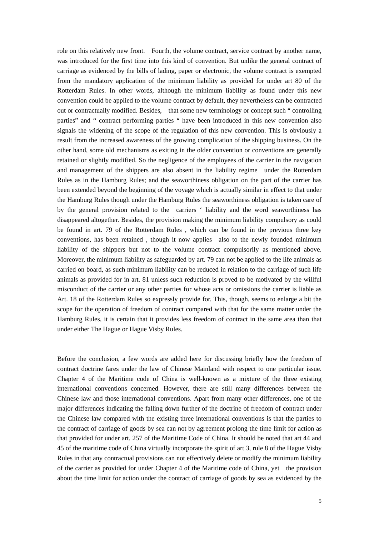role on this relatively new front. Fourth, the volume contract, service contract by another name, was introduced for the first time into this kind of convention. But unlike the general contract of carriage as evidenced by the bills of lading, paper or electronic, the volume contract is exempted from the mandatory application of the minimum liability as provided for under art 80 of the Rotterdam Rules. In other words, although the minimum liability as found under this new convention could be applied to the volume contract by default, they nevertheless can be contracted out or contractually modified. Besides, that some new terminology or concept such " controlling parties" and " contract performing parties " have been introduced in this new convention also signals the widening of the scope of the regulation of this new convention. This is obviously a result from the increased awareness of the growing complication of the shipping business. On the other hand, some old mechanisms as exiting in the older convention or conventions are generally retained or slightly modified. So the negligence of the employees of the carrier in the navigation and management of the shippers are also absent in the liability regime under the Rotterdam Rules as in the Hamburg Rules; and the seaworthiness obligation on the part of the carrier has been extended beyond the beginning of the voyage which is actually similar in effect to that under the Hamburg Rules though under the Hamburg Rules the seaworthiness obligation is taken care of by the general provision related to the carriers ' liability and the word seaworthiness has disappeared altogether. Besides, the provision making the minimum liability compulsory as could be found in art. 79 of the Rotterdam Rules , which can be found in the previous three key conventions, has been retained , though it now applies also to the newly founded minimum liability of the shippers but not to the volume contract compulsorily as mentioned above. Moreover, the minimum liability as safeguarded by art. 79 can not be applied to the life animals as carried on board, as such minimum liability can be reduced in relation to the carriage of such life animals as provided for in art. 81 unless such reduction is proved to be motivated by the willful misconduct of the carrier or any other parties for whose acts or omissions the carrier is liable as Art. 18 of the Rotterdam Rules so expressly provide for. This, though, seems to enlarge a bit the scope for the operation of freedom of contract compared with that for the same matter under the Hamburg Rules, it is certain that it provides less freedom of contract in the same area than that under either The Hague or Hague Visby Rules.

Before the conclusion, a few words are added here for discussing briefly how the freedom of contract doctrine fares under the law of Chinese Mainland with respect to one particular issue. Chapter 4 of the Maritime code of China is well-known as a mixture of the three existing international conventions concerned. However, there are still many differences between the Chinese law and those international conventions. Apart from many other differences, one of the major differences indicating the falling down further of the doctrine of freedom of contract under the Chinese law compared with the existing three international conventions is that the parties to the contract of carriage of goods by sea can not by agreement prolong the time limit for action as that provided for under art. 257 of the Maritime Code of China. It should be noted that art 44 and 45 of the maritime code of China virtually incorporate the spirit of art 3, rule 8 of the Hague Visby Rules in that any contractual provisions can not effectively delete or modify the minimum liability of the carrier as provided for under Chapter 4 of the Maritime code of China, yet the provision about the time limit for action under the contract of carriage of goods by sea as evidenced by the